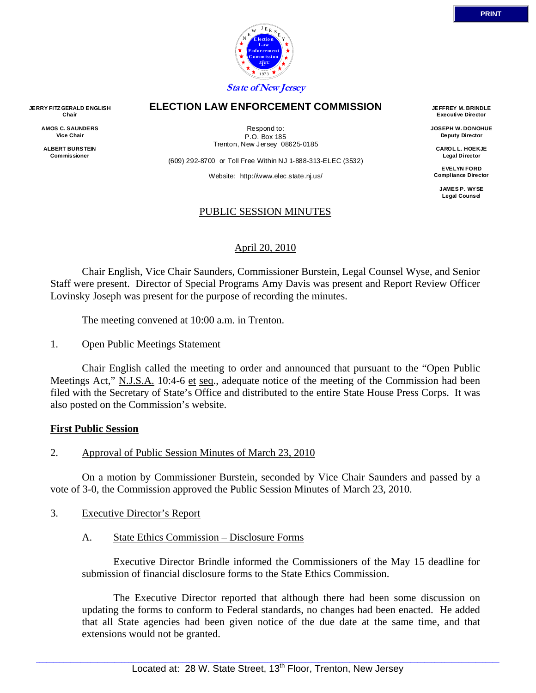

#### **ELECTION LAW ENFORCEMENT COMMISSION**

**JERRY FITZ GERALD ENGLISH Chair AMOS C. SAUNDERS Vice Chair** 

> **ALBERT BURSTEIN Commissioner**

Respond to: P.O. Box 185 Trenton, New Jersey 08625-0185

(609) 292-8700 or Toll Free Within NJ 1-888-313-ELEC (3532)

Website: http://www.elec.state.nj.us/

### PUBLIC SESSION MINUTES

### April 20, 2010

 Chair English, Vice Chair Saunders, Commissioner Burstein, Legal Counsel Wyse, and Senior Staff were present. Director of Special Programs Amy Davis was present and Report Review Officer Lovinsky Joseph was present for the purpose of recording the minutes.

The meeting convened at 10:00 a.m. in Trenton.

1. Open Public Meetings Statement

 Chair English called the meeting to order and announced that pursuant to the "Open Public Meetings Act," N.J.S.A. 10:4-6 et seq., adequate notice of the meeting of the Commission had been filed with the Secretary of State's Office and distributed to the entire State House Press Corps. It was also posted on the Commission's website.

#### **First Public Session**

2. Approval of Public Session Minutes of March 23, 2010

 On a motion by Commissioner Burstein, seconded by Vice Chair Saunders and passed by a vote of 3-0, the Commission approved the Public Session Minutes of March 23, 2010.

- 3. Executive Director's Report
	- A. State Ethics Commission Disclosure Forms

 Executive Director Brindle informed the Commissioners of the May 15 deadline for submission of financial disclosure forms to the State Ethics Commission.

 The Executive Director reported that although there had been some discussion on updating the forms to conform to Federal standards, no changes had been enacted. He added that all State agencies had been given notice of the due date at the same time, and that extensions would not be granted.

**JEFFREY M. BRINDLE Executive Director JOSEPH W. DONOHUE Deputy Director CAROL L. HOEKJE Legal Director EVELYN FORD Compliance Director JAMES P. WYSE Legal Counsel**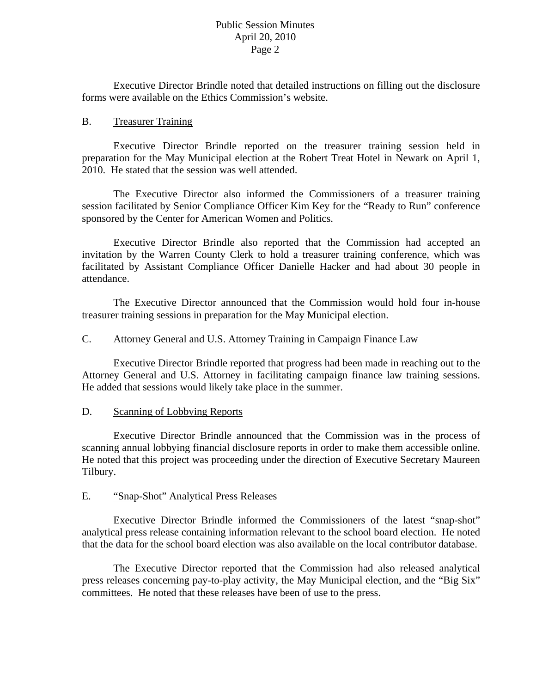Executive Director Brindle noted that detailed instructions on filling out the disclosure forms were available on the Ethics Commission's website.

### B. Treasurer Training

 Executive Director Brindle reported on the treasurer training session held in preparation for the May Municipal election at the Robert Treat Hotel in Newark on April 1, 2010. He stated that the session was well attended.

 The Executive Director also informed the Commissioners of a treasurer training session facilitated by Senior Compliance Officer Kim Key for the "Ready to Run" conference sponsored by the Center for American Women and Politics.

 Executive Director Brindle also reported that the Commission had accepted an invitation by the Warren County Clerk to hold a treasurer training conference, which was facilitated by Assistant Compliance Officer Danielle Hacker and had about 30 people in attendance.

 The Executive Director announced that the Commission would hold four in-house treasurer training sessions in preparation for the May Municipal election.

### C. Attorney General and U.S. Attorney Training in Campaign Finance Law

 Executive Director Brindle reported that progress had been made in reaching out to the Attorney General and U.S. Attorney in facilitating campaign finance law training sessions. He added that sessions would likely take place in the summer.

## D. Scanning of Lobbying Reports

 Executive Director Brindle announced that the Commission was in the process of scanning annual lobbying financial disclosure reports in order to make them accessible online. He noted that this project was proceeding under the direction of Executive Secretary Maureen Tilbury.

## E. "Snap-Shot" Analytical Press Releases

 Executive Director Brindle informed the Commissioners of the latest "snap-shot" analytical press release containing information relevant to the school board election. He noted that the data for the school board election was also available on the local contributor database.

 The Executive Director reported that the Commission had also released analytical press releases concerning pay-to-play activity, the May Municipal election, and the "Big Six" committees. He noted that these releases have been of use to the press.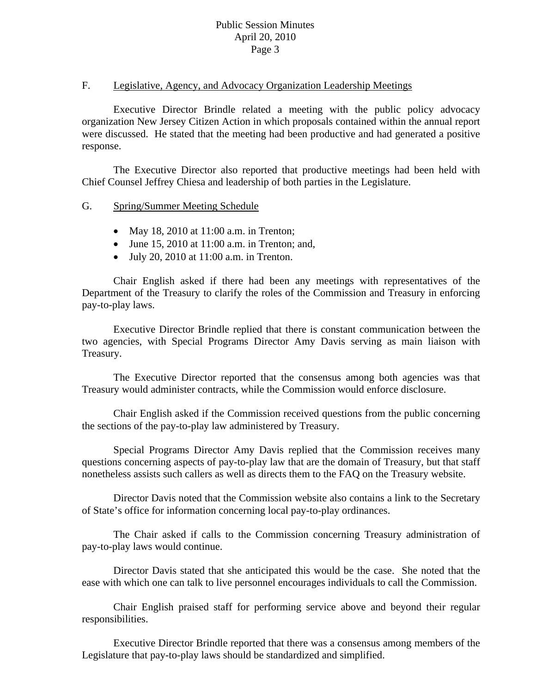### F. Legislative, Agency, and Advocacy Organization Leadership Meetings

 Executive Director Brindle related a meeting with the public policy advocacy organization New Jersey Citizen Action in which proposals contained within the annual report were discussed. He stated that the meeting had been productive and had generated a positive response.

 The Executive Director also reported that productive meetings had been held with Chief Counsel Jeffrey Chiesa and leadership of both parties in the Legislature.

## G. Spring/Summer Meeting Schedule

- May 18, 2010 at 11:00 a.m. in Trenton;
- June 15, 2010 at  $11:00$  a.m. in Trenton; and,
- $\bullet$  July 20, 2010 at 11:00 a.m. in Trenton.

Chair English asked if there had been any meetings with representatives of the Department of the Treasury to clarify the roles of the Commission and Treasury in enforcing pay-to-play laws.

 Executive Director Brindle replied that there is constant communication between the two agencies, with Special Programs Director Amy Davis serving as main liaison with Treasury.

 The Executive Director reported that the consensus among both agencies was that Treasury would administer contracts, while the Commission would enforce disclosure.

 Chair English asked if the Commission received questions from the public concerning the sections of the pay-to-play law administered by Treasury.

 Special Programs Director Amy Davis replied that the Commission receives many questions concerning aspects of pay-to-play law that are the domain of Treasury, but that staff nonetheless assists such callers as well as directs them to the FAQ on the Treasury website.

 Director Davis noted that the Commission website also contains a link to the Secretary of State's office for information concerning local pay-to-play ordinances.

 The Chair asked if calls to the Commission concerning Treasury administration of pay-to-play laws would continue.

 Director Davis stated that she anticipated this would be the case. She noted that the ease with which one can talk to live personnel encourages individuals to call the Commission.

 Chair English praised staff for performing service above and beyond their regular responsibilities.

 Executive Director Brindle reported that there was a consensus among members of the Legislature that pay-to-play laws should be standardized and simplified.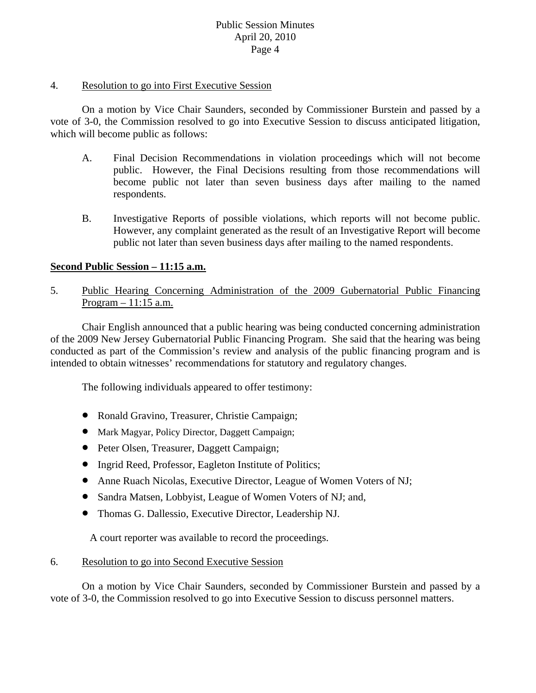### 4. Resolution to go into First Executive Session

 On a motion by Vice Chair Saunders, seconded by Commissioner Burstein and passed by a vote of 3-0, the Commission resolved to go into Executive Session to discuss anticipated litigation, which will become public as follows:

- A. Final Decision Recommendations in violation proceedings which will not become public. However, the Final Decisions resulting from those recommendations will become public not later than seven business days after mailing to the named respondents.
- B. Investigative Reports of possible violations, which reports will not become public. However, any complaint generated as the result of an Investigative Report will become public not later than seven business days after mailing to the named respondents.

## **Second Public Session – 11:15 a.m.**

5. Public Hearing Concerning Administration of the 2009 Gubernatorial Public Financing Program – 11:15 a.m.

 Chair English announced that a public hearing was being conducted concerning administration of the 2009 New Jersey Gubernatorial Public Financing Program. She said that the hearing was being conducted as part of the Commission's review and analysis of the public financing program and is intended to obtain witnesses' recommendations for statutory and regulatory changes.

The following individuals appeared to offer testimony:

- Ronald Gravino, Treasurer, Christie Campaign;
- Mark Magyar, Policy Director, Daggett Campaign;
- Peter Olsen, Treasurer, Daggett Campaign;
- Ingrid Reed, Professor, Eagleton Institute of Politics;
- Anne Ruach Nicolas, Executive Director, League of Women Voters of NJ;
- Sandra Matsen, Lobbyist, League of Women Voters of NJ; and,
- Thomas G. Dallessio, Executive Director, Leadership NJ.

A court reporter was available to record the proceedings.

## 6. Resolution to go into Second Executive Session

 On a motion by Vice Chair Saunders, seconded by Commissioner Burstein and passed by a vote of 3-0, the Commission resolved to go into Executive Session to discuss personnel matters.